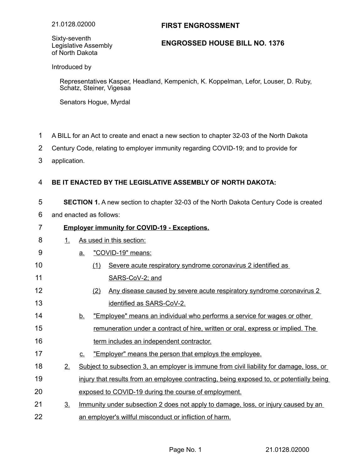## **FIRST ENGROSSMENT**

Sixty-seventh Legislative Assembly of North Dakota

## **ENGROSSED HOUSE BILL NO. 1376**

Introduced by

Representatives Kasper, Headland, Kempenich, K. Koppelman, Lefor, Louser, D. Ruby, Schatz, Steiner, Vigesaa

Senators Hogue, Myrdal

- A BILL for an Act to create and enact a new section to chapter 32-03 of the North Dakota 1
- Century Code, relating to employer immunity regarding COVID-19; and to provide for 2
- application. 3

12

13

## **BE IT ENACTED BY THE LEGISLATIVE ASSEMBLY OF NORTH DAKOTA:** 4

**SECTION 1.** A new section to chapter 32-03 of the North Dakota Century Code is created 5

and enacted as follows: 6

## **Employer immunity for COVID-19 - Exceptions.** 7

|  | 1. As used in this section: |
|--|-----------------------------|
|  | "COVID-19" means:           |

- (1) Severe acute respiratory syndrome coronavirus 2 identified as SARS-CoV-2; and 10 11
	- (2) Any disease caused by severe acute respiratory syndrome coronavirus 2 identified as SARS-CoV-2.
- b. "Employee" means an individual who performs a service for wages or other remuneration under a contract of hire, written or oral, express or implied. The term includes an independent contractor. 14 15 16
- c. "Employer" means the person that employs the employee. 17
- 2. Subject to subsection 3, an employer is immune from civil liability for damage, loss, or injury that results from an employee contracting, being exposed to, or potentially being exposed to COVID-19 during the course of employment. 18 19 20
- 3. Immunity under subsection 2 does not apply to damage, loss, or injury caused by an an employer's willful misconduct or infliction of harm. 21 22